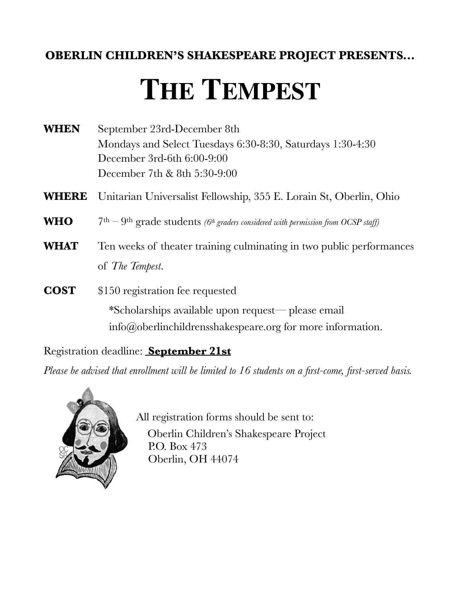# **OBERLIN CHILDREN'S SHAKESPEARE PROJECT PRESENTS...**

# **THE TEMPEST**

| <b>WHEN</b> | September 23rd-December 8th                                |  |  |
|-------------|------------------------------------------------------------|--|--|
|             | Mondays and Select Tuesdays 6:30-8:30, Saturdays 1:30-4:30 |  |  |
|             | December 3rd-6th $6:00-9:00$                               |  |  |
|             | December 7th & 8th $5:30-9:00$                             |  |  |

- **WHERE** Unitarian Universalist Fellowship, 355 E. Lorain St, Oberlin, Ohio
- WHO 7<sup>th</sup> 9<sup>th</sup> grade students *(6<sup>th</sup> graders considered with permission from OCSP staff)*
- **WHAT** Ten weeks of theater training culminating in two public performances of *The Tempest*.
- **COST** \$150 registration fee requested \*Scholarships available upon request— please email info@oberlinchildrensshakespeare.org for more information.

Registration deadline: **September 21st** 

*Please be advised that enrollment will be limited to 16 students on a first-come, first-served basis.* 



 All registration forms should be sent to: Oberlin Children's Shakespeare Project P.O. Box 473 Oberlin, OH 44074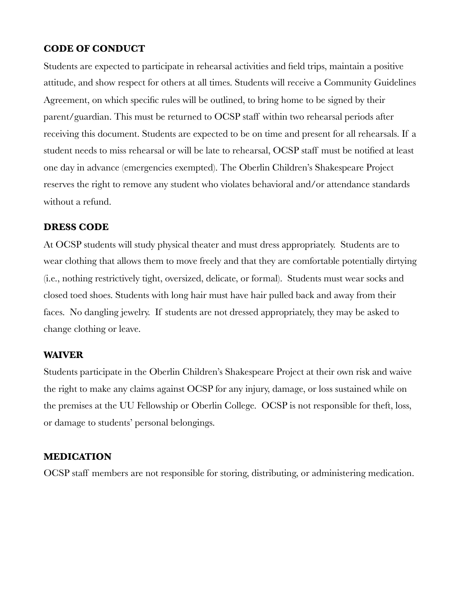#### **CODE OF CONDUCT**

Students are expected to participate in rehearsal activities and field trips, maintain a positive attitude, and show respect for others at all times. Students will receive a Community Guidelines Agreement, on which specific rules will be outlined, to bring home to be signed by their parent/guardian. This must be returned to OCSP staff within two rehearsal periods after receiving this document. Students are expected to be on time and present for all rehearsals. If a student needs to miss rehearsal or will be late to rehearsal, OCSP staff must be notified at least one day in advance (emergencies exempted). The Oberlin Children's Shakespeare Project reserves the right to remove any student who violates behavioral and/or attendance standards without a refund.

#### **DRESS CODE**

At OCSP students will study physical theater and must dress appropriately. Students are to wear clothing that allows them to move freely and that they are comfortable potentially dirtying (i.e., nothing restrictively tight, oversized, delicate, or formal). Students must wear socks and closed toed shoes. Students with long hair must have hair pulled back and away from their faces. No dangling jewelry. If students are not dressed appropriately, they may be asked to change clothing or leave.

#### **WAIVER**

Students participate in the Oberlin Children's Shakespeare Project at their own risk and waive the right to make any claims against OCSP for any injury, damage, or loss sustained while on the premises at the UU Fellowship or Oberlin College. OCSP is not responsible for theft, loss, or damage to students' personal belongings.

#### **MEDICATION**

OCSP staff members are not responsible for storing, distributing, or administering medication.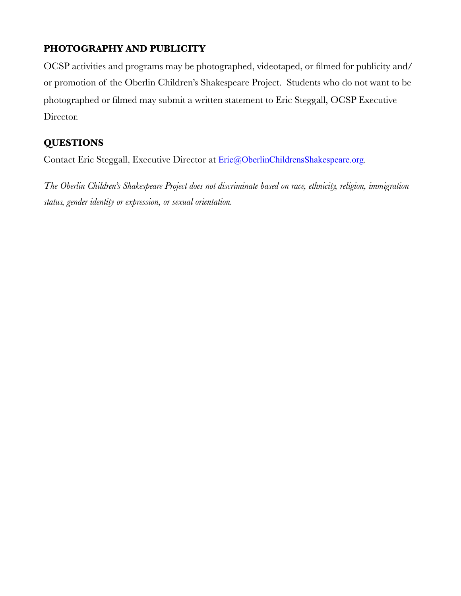# **PHOTOGRAPHY AND PUBLICITY**

OCSP activities and programs may be photographed, videotaped, or filmed for publicity and/ or promotion of the Oberlin Children's Shakespeare Project. Students who do not want to be photographed or filmed may submit a written statement to Eric Steggall, OCSP Executive Director.

### **QUESTIONS**

Contact Eric Steggall, Executive Director at **[Eric@OberlinChildrensShakespeare.org](mailto:Eric@OberlinChildrensShakespeare.org).** 

*The Oberlin Children's Shakespeare Project does not discriminate based on race, ethnicity, religion, immigration status, gender identity or expression, or sexual orientation.*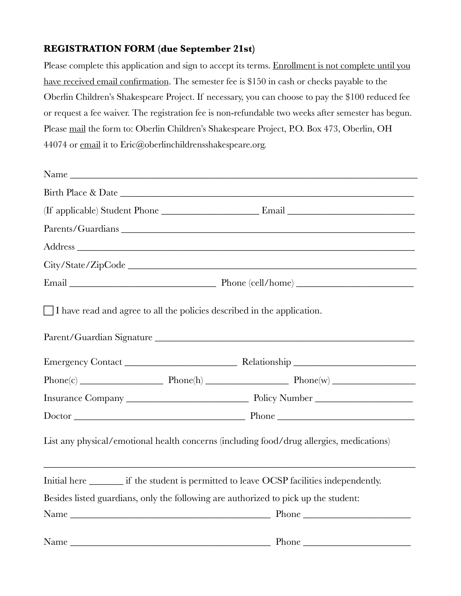## **REGISTRATION FORM (due September 21st)**

Please complete this application and sign to accept its terms. Enrollment is not complete until you have received email confirmation. The semester fee is \$150 in cash or checks payable to the Oberlin Children's Shakespeare Project. If necessary, you can choose to pay the \$100 reduced fee or request a fee waiver. The registration fee is non-refundable two weeks after semester has begun. Please mail the form to: Oberlin Children's Shakespeare Project, P.O. Box 473, Oberlin, OH 44074 or email it to Eric@oberlinchildrensshakespeare.org.

|                                                                                |                          | Name                                                                                       |  |  |
|--------------------------------------------------------------------------------|--------------------------|--------------------------------------------------------------------------------------------|--|--|
|                                                                                |                          |                                                                                            |  |  |
|                                                                                |                          |                                                                                            |  |  |
|                                                                                |                          |                                                                                            |  |  |
|                                                                                |                          |                                                                                            |  |  |
|                                                                                |                          |                                                                                            |  |  |
|                                                                                |                          |                                                                                            |  |  |
| $\Box$ I have read and agree to all the policies described in the application. |                          |                                                                                            |  |  |
|                                                                                |                          |                                                                                            |  |  |
|                                                                                |                          | $Phone(c)$ Phone(h) Phone(h) Phone(w) Phone(w)                                             |  |  |
|                                                                                |                          |                                                                                            |  |  |
|                                                                                | Doctor Phone Phone Phone |                                                                                            |  |  |
|                                                                                |                          | List any physical/emotional health concerns (including food/drug allergies, medications)   |  |  |
|                                                                                |                          | Initial here _________ if the student is permitted to leave OCSP facilities independently. |  |  |
|                                                                                |                          | Besides listed guardians, only the following are authorized to pick up the student:        |  |  |
|                                                                                |                          |                                                                                            |  |  |
|                                                                                |                          |                                                                                            |  |  |